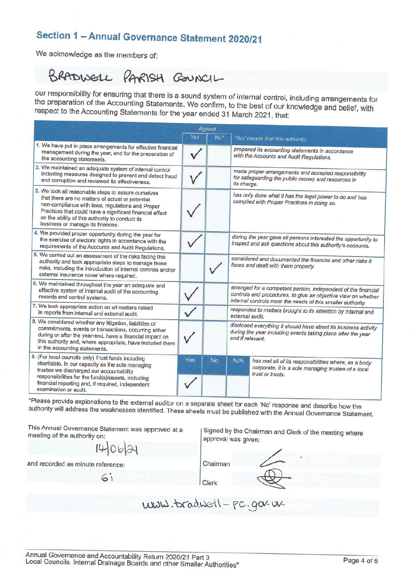## Section 1 - Annual Governance Statement 2020/21

We acknowledge as the members of:

# BRADWELL PARISH GOUNCIL

our responsibility for ensuring that there is a sound system of internal control, including arrangements for the preparation of the Accounting Statements. We confirm, to the best of our knowledge and belief, with respect to the Accounting Statements for the year ended 31 March 2021, that:

|                                                                                                                                                                                                                                                                                                                |     | Agreed |                                                                                                                                                                                               |  |
|----------------------------------------------------------------------------------------------------------------------------------------------------------------------------------------------------------------------------------------------------------------------------------------------------------------|-----|--------|-----------------------------------------------------------------------------------------------------------------------------------------------------------------------------------------------|--|
|                                                                                                                                                                                                                                                                                                                | Yes | $No*$  | 'Yes' means that this authority:                                                                                                                                                              |  |
| 1. We have put in place arrangements for effective financial<br>management during the year, and for the preparation of<br>the accounting statements.                                                                                                                                                           |     |        | prepared its accounting statements in accordance<br>with the Accounts and Audit Regulations.                                                                                                  |  |
| 2. We maintained an adequate system of internal control<br>including measures designed to prevent and detect fraud<br>and corruption and reviewed its effectiveness.                                                                                                                                           |     |        | made proper arrangements and accepted responsibility<br>for safeguarding the public money and resources in<br>its charge.                                                                     |  |
| 3. We took all reasonable steps to assure ourselves<br>that there are no matters of actual or potential<br>non-compliance with laws, regulations and Proper<br>Practices that could have a significant financial effect<br>on the ability of this authority to conduct its<br>business or manage its finances. |     |        | has only done what it has the legal power to do and has<br>complied with Proper Practices in doing so.                                                                                        |  |
| 4. We provided proper opportunity during the year for<br>the exercise of electors' rights in accordance with the<br>requirements of the Accounts and Audit Regulations.                                                                                                                                        |     |        | during the year gave all persons interested the opportunity to<br>inspect and ask questions about this authority's accounts.                                                                  |  |
| 5. We carried out an assessment of the risks facing this<br>authority and took appropriate steps to manage those<br>risks, including the introduction of internal controls and/or<br>external insurance cover where required.                                                                                  |     |        | considered and documented the financial and other risks it<br>faces and dealt with them properly.                                                                                             |  |
| 6. We maintained throughout the year an adequate and<br>effective system of internal audit of the accounting<br>records and control systems.                                                                                                                                                                   |     |        | arranged for a competent person, independent of the financial<br>controls and procedures, to give an objective view on whether<br>internal controls meet the needs of this smaller authority. |  |
| 7. We took appropriate action on all matters raised<br>in reports from internal and external audit.                                                                                                                                                                                                            |     |        | responded to matters brought to its attention by internal and<br>external audit.                                                                                                              |  |
| 8. We considered whether any litigation, liabilities or<br>commitments, events or transactions, occurring either<br>during or after the year-end, have a financial impact on<br>this authority and, where appropriate, have included them<br>in the accounting statements.                                     |     |        | disclosed everything it should have about its business activity<br>during the year including events taking place after the year<br>end if relevant.                                           |  |
| 9. (For local councils only) Trust funds including<br>charitable. In our capacity as the sole managing<br>trustee we discharged our accountability<br>responsibilities for the fund(s)/assets, including<br>financial reporting and, if required, independent<br>examination or audit.                         | Yes | No     | N/A<br>has met all of its responsibilities where, as a body<br>corporate, it is a sole managing trustee of a local<br>trust or trusts.                                                        |  |

\*Please provide explanations to the external auditor on a separate sheet for each 'No' response and describe how the authority will address the weaknesses identified. These sheets must be published with the Annual Governance Statement.

This Annual Governance Statement was approved at a meeting of the authority on:

 $6i$ 

 $1406121$ 

and recorded as minute reference:

Signed by the Chairman and Clerk of the meeting where approval was given:

Chairman

Clerk

WWW.bradwell-pc.gov.uk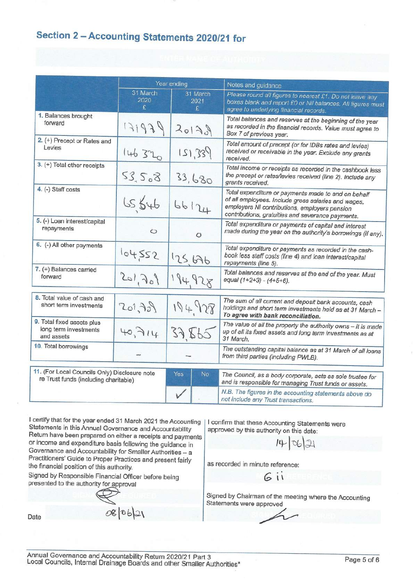## Section 2 - Accounting Statements 2020/21 for

|                                                                                        | Year ending           |                       | Notes and guidance                                                                                                                                                                                               |  |  |
|----------------------------------------------------------------------------------------|-----------------------|-----------------------|------------------------------------------------------------------------------------------------------------------------------------------------------------------------------------------------------------------|--|--|
|                                                                                        | 31 March<br>2020<br>£ | 31 March<br>2021<br>£ | Please round all figures to nearest £1. Do not leave any<br>boxes blank and report £0 or Nil balances. All figures must<br>agree to underlying financial records.                                                |  |  |
| 1. Balances brought<br>forward                                                         | 131939                | 20120                 | Total balances and reserves at the beginning of the year<br>as recorded in the financial records. Value must agree to<br>Box 7 of previous year.                                                                 |  |  |
| 2. (+) Precept or Rates and<br>Levies                                                  | 146320                | 121,339               | Total amount of precept (or for IDBs rates and levies)<br>received or receivable in the year. Exclude any grants<br>received.                                                                                    |  |  |
| 3. (+) Total other receipts                                                            | 53.508                | 33,680                | Total income or receipts as recorded in the cashbook less<br>the precept or rates/levies received (line 2). Include any<br>grants received.                                                                      |  |  |
| 4. (-) Staff costs                                                                     | 65,646                | 66124                 | Total expenditure or payments made to and on behalf<br>of all employees. Include gross salaries and wages,<br>employers NI contributions, employers pension<br>contributions, gratuities and severance payments. |  |  |
| 5. (-) Loan interest/capital<br>repayments                                             | $\circ$               | $\circ$               | Total expenditure or payments of capital and interest<br>made during the year on the authority's borrowings (if any).                                                                                            |  |  |
| 6. (-) All other payments                                                              | 104552                | 125,676               | Total expenditure or payments as recorded in the cash-<br>book less staff costs (line 4) and loan interest/capital<br>repayments (line 5).                                                                       |  |  |
| 7. (=) Balances carried<br>forward                                                     | 201, 301              | 194.928               | Total balances and reserves at the end of the year. Must<br>equal (1+2+3) - (4+5+6).                                                                                                                             |  |  |
| 8. Total value of cash and<br>short term investments                                   | 201,72)               | 194928                | The sum of all current and deposit bank accounts, cash<br>holdings and short term investments held as at 31 March -<br>To agree with bank reconciliation.                                                        |  |  |
| 9. Total fixed assets plus<br>long term investments<br>and assets                      | 40,714                | 37,865                | The value of all the property the authority owns - it is made<br>up of all its fixed assets and long term investments as at<br>31 March.                                                                         |  |  |
| 10. Total borrowings                                                                   |                       |                       | The outstanding capital balance as at 31 March of all loans<br>from third parties (including PWLB).                                                                                                              |  |  |
| 11. (For Local Councils Only) Disclosure note<br>re Trust funds (including charitable) |                       | Yes<br>No.            | The Council, as a body corporate, acts as sole trustee for<br>and is responsible for managing Trust funds or assets.                                                                                             |  |  |
|                                                                                        |                       |                       | N.B. The figures in the accounting statements above do<br>not include any Trust transactions.                                                                                                                    |  |  |

I certify that for the year ended 31 March 2021 the Accounting Statements in this Annual Governance and Accountability Return have been prepared on either a receipts and payments or income and expenditure basis following the guidance in Governance and Accountability for Smaller Authorities - a Practitioners' Guide to Proper Practices and present fairly the financial position of this authority.

Signed by Responsible Financial Officer before being presented to the authority for approval

I confirm that these Accounting Statements were approved by this authority on this date:

 $14 | 06 | 21$ 

as recorded in minute reference:

Gii

Signed by Chairman of the meeting where the Accounting Statements were approved

Date

08/06/21